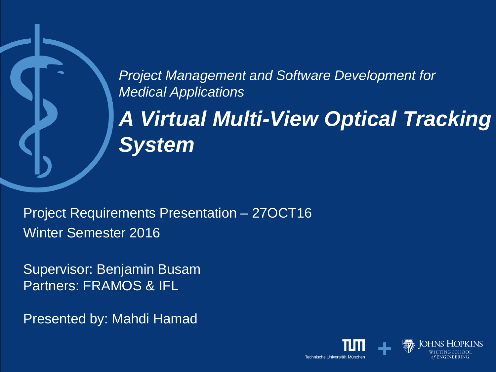*Project Management and Software Development for Medical Applications*

*A Virtual Multi-View Optical Tracking System*

Project Requirements Presentation – 27OCT16 Winter Semester 2016

Supervisor: Benjamin Busam Partners: FRAMOS & IFL

Presented by: Mahdi Hamad

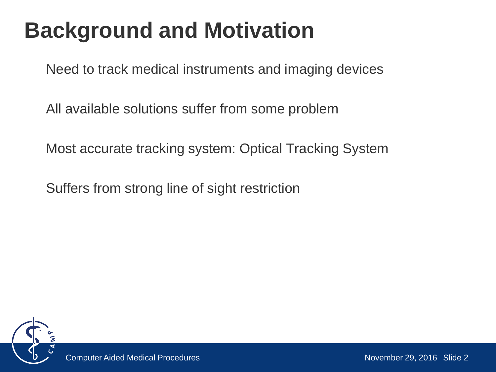# **Background and Motivation**

Need to track medical instruments and imaging devices

All available solutions suffer from some problem

Most accurate tracking system: Optical Tracking System

Suffers from strong line of sight restriction

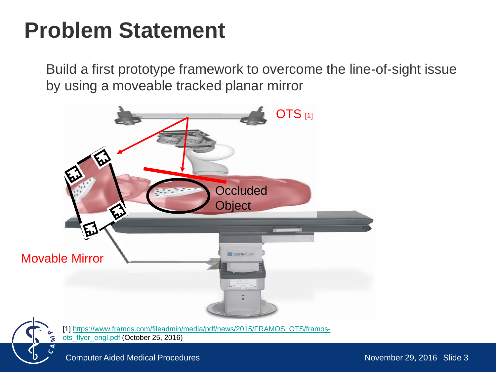## **Problem Statement**

Build a first prototype framework to overcome the line-of-sight issue by using a moveable tracked planar mirror





[\[1\] https://www.framos.com/fileadmin/media/pdf/news/2015/FRAMOS\\_OTS/framos-](https://www.framos.com/fileadmin/media/pdf/news/2015/FRAMOS_OTS/framos-ots_flyer_engl.pdf)

ots\_flyer\_engl.pdf (October 25, 2016)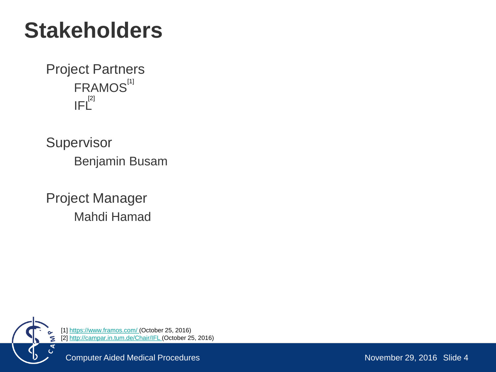## **Stakeholders**

Project Partners FRAMOS<sup>[1]</sup>  $\mathsf{IFL}^{^{[2]}}$ 

**Supervisor** Benjamin Busam

Project Manager Mahdi Hamad



[1]<https://www.framos.com/>(October 25, 2016) [2]<http://campar.in.tum.de/Chair/IFL>(October 25, 2016)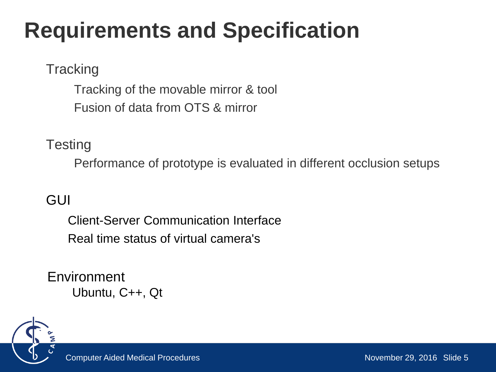# **Requirements and Specification**

#### **Tracking**

Tracking of the movable mirror & tool Fusion of data from OTS & mirror

#### **Testing**

Performance of prototype is evaluated in different occlusion setups

#### GUI

Client-Server Communication Interface Real time status of virtual camera's

Environment Ubuntu, C++, Qt

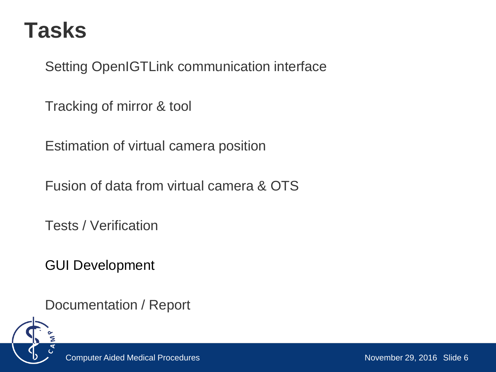### **Tasks**

Setting OpenIGTLink communication interface

Tracking of mirror & tool

Estimation of virtual camera position

Fusion of data from virtual camera & OTS

Tests / Verification

GUI Development

Documentation / Report